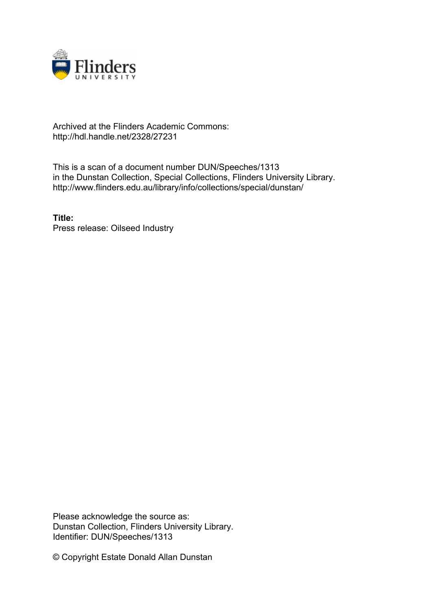

## Archived at the Flinders Academic Commons: http://hdl.handle.net/2328/27231

This is a scan of a document number DUN/Speeches/1313 in the Dunstan Collection, Special Collections, Flinders University Library. http://www.flinders.edu.au/library/info/collections/special/dunstan/

**Title:** Press release: Oilseed Industry

Please acknowledge the source as: Dunstan Collection, Flinders University Library. Identifier: DUN/Speeches/1313

© Copyright Estate Donald Allan Dunstan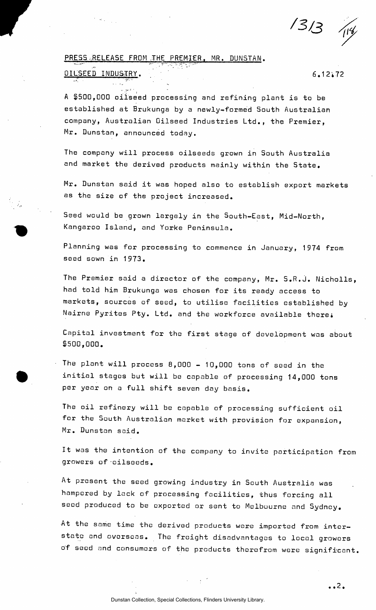Z-3/3 *fa* 

## PRESS RELEASE FROM THE PREMIER, MR. DUNSTAN.

## OILSEED INDUSTRY. 6.12.72

A \$500,000 oilseed processing and refining plant is to be establ ished at Brukunga by a newly—formed South Australian company, Australian Oilseed Industries Ltd., the Premier, Mr. Dunstan, announced today.

The company will process oilseeds grown in South Australia and market the derived products mainly within the State.

Mr. Dunstan said it was hoped also to establish export markets as the size of the project increased.

Seed would be grown largely in the South-East, Mid-North, Kangaroo Island, and Yorke Peninsula.

Planning was for processing to commence in January, 1974 from seed sown in 1973.

The Premier said a director of the company, Mr. S.R.J. Nicholls, had told him Brukunga was chosen for its ready access to markets, sources of seed, to utilise facilities established by Nairne Pyrites Pty. Ltd. and the workforce available there.

Capitol investment for the first stage of development was about \$500,000.

The plant will process 8,000 - 10,000 tons of seed in the initial stages but will be capable of processing 14,000 tons per year on a full shift seven day basis.

The oil refinery will be capable of processing sufficient oil for the South Australian market with provision for expansion, Mr. Dunstan said.

It was the intention of the company to invite participation from growers of oilseeds.

At present the seed growing industry in South Australia was hampered by lack of processing facilities, thus forcing all seed produced to be exported or sent to Melbourne and Sydney.

At the same time the derived products were imported from interstate and overseas. The freight disadvantages to local growers of seed and consumers of the products therefrom were significant.